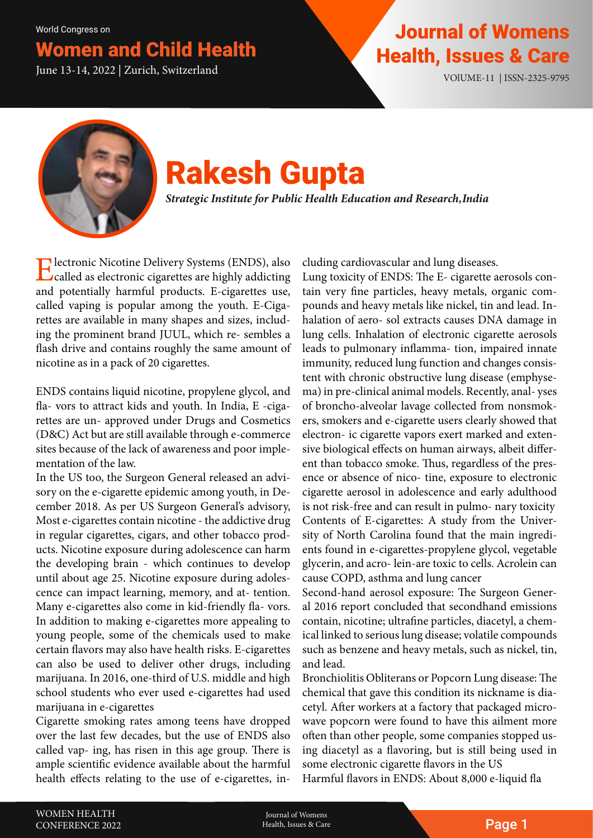### omen and Child Health

## Journal of Womens Women and Child Health Health Health, Issues & Care June 13-14, 2022 | Zurich, Switzerland VOLUME-11 | ISSN-2325-9795



# Rakesh Gupta

*Strategic Institute for Public Health Education and Research, India*

Electronic Nicotine Delivery Systems (ENDS), also called as electronic cigarettes are highly addicting and potentially harmful products. E-cigarettes use, called vaping is popular among the youth. E-Cigarettes are available in many shapes and sizes, including the prominent brand JUUL, which re- sembles a flash drive and contains roughly the same amount of nicotine as in a pack of 20 cigarettes.

ENDS contains liquid nicotine, propylene glycol, and fla- vors to attract kids and youth. In India, E -cigarettes are un- approved under Drugs and Cosmetics (D&C) Act but are still available through e-commerce sites because of the lack of awareness and poor implementation of the law.

In the US too, the Surgeon General released an advisory on the e-cigarette epidemic among youth, in December 2018. As per US Surgeon General's advisory, Most e-cigarettes contain nicotine - the addictive drug in regular cigarettes, cigars, and other tobacco products. Nicotine exposure during adolescence can harm the developing brain - which continues to develop until about age 25. Nicotine exposure during adolescence can impact learning, memory, and at- tention. Many e-cigarettes also come in kid-friendly fla- vors. In addition to making e-cigarettes more appealing to young people, some of the chemicals used to make certain flavors may also have health risks. E-cigarettes can also be used to deliver other drugs, including marijuana. In 2016, one-third of U.S. middle and high school students who ever used e-cigarettes had used marijuana in e-cigarettes

Cigarette smoking rates among teens have dropped over the last few decades, but the use of ENDS also called vap- ing, has risen in this age group. There is ample scientific evidence available about the harmful health effects relating to the use of e-cigarettes, including cardiovascular and lung diseases.

Lung toxicity of ENDS: The E- cigarette aerosols contain very fine particles, heavy metals, organic compounds and heavy metals like nickel, tin and lead. Inhalation of aero- sol extracts causes DNA damage in lung cells. Inhalation of electronic cigarette aerosols leads to pulmonary inflamma- tion, impaired innate immunity, reduced lung function and changes consistent with chronic obstructive lung disease (emphysema) in pre-clinical animal models. Recently, anal- yses of broncho-alveolar lavage collected from nonsmokers, smokers and e-cigarette users clearly showed that electron- ic cigarette vapors exert marked and extensive biological effects on human airways, albeit different than tobacco smoke. Thus, regardless of the presence or absence of nico- tine, exposure to electronic cigarette aerosol in adolescence and early adulthood is not risk-free and can result in pulmo- nary toxicity Contents of E-cigarettes: A study from the University of North Carolina found that the main ingredients found in e-cigarettes-propylene glycol, vegetable glycerin, and acro- lein-are toxic to cells. Acrolein can cause COPD, asthma and lung cancer

Second-hand aerosol exposure: The Surgeon General 2016 report concluded that secondhand emissions contain, nicotine; ultrafine particles, diacetyl, a chemical linked to serious lung disease; volatile compounds such as benzene and heavy metals, such as nickel, tin, and lead.

Bronchiolitis Obliterans or Popcorn Lung disease: The chemical that gave this condition its nickname is diacetyl. After workers at a factory that packaged microwave popcorn were found to have this ailment more often than other people, some companies stopped using diacetyl as a flavoring, but is still being used in some electronic cigarette flavors in the US Harmful flavors in ENDS: About 8,000 e-liquid fla

Journal of Womens Health, Issues & Care